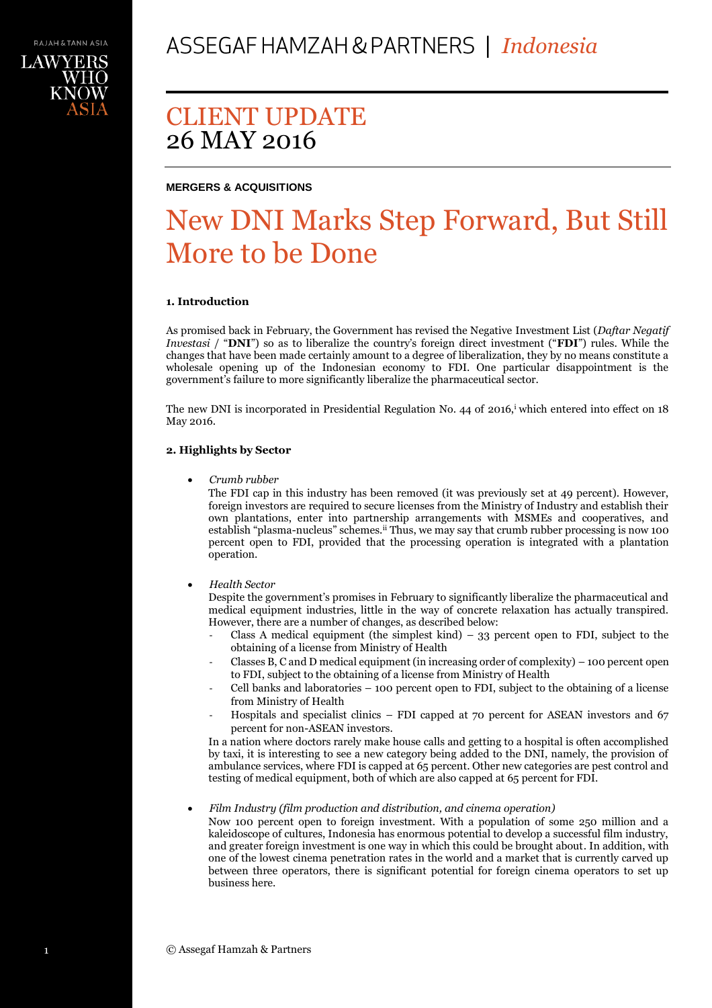## **MERGERS & ACQUISITIONS**

# New DNI Marks Step Forward, But Still More to be Done

### **1. Introduction**

As promised back in February, the Government has revised the Negative Investment List (*Daftar Negatif Investasi* / "**DNI**") so as to liberalize the country's foreign direct investment ("**FDI**") rules. While the changes that have been made certainly amount to a degree of liberalization, they by no means constitute a wholesale opening up of the Indonesian economy to FDI. One particular disappointment is the government's failure to more significantly liberalize the pharmaceutical sector.

The new DNI is incorporated in Presidential Regulation No. 44 of 2016, <sup>i</sup> which entered into effect on 18 May 2016.

### **2. Highlights by Sector**

*Crumb rubber*

The FDI cap in this industry has been removed (it was previously set at 49 percent). However, foreign investors are required to secure licenses from the Ministry of Industry and establish their own plantations, enter into partnership arrangements with MSMEs and cooperatives, and establish "plasma-nucleus" schemes.<sup>ii</sup> Thus, we may say that crumb rubber processing is now 100 percent open to FDI, provided that the processing operation is integrated with a plantation operation.

### *Health Sector*

Despite the government's promises in February to significantly liberalize the pharmaceutical and medical equipment industries, little in the way of concrete relaxation has actually transpired. However, there are a number of changes, as described below:

- Class A medical equipment (the simplest kind) 33 percent open to FDI, subject to the obtaining of a license from Ministry of Health
- Classes B, C and D medical equipment (in increasing order of complexity) 100 percent open to FDI, subject to the obtaining of a license from Ministry of Health
- Cell banks and laboratories 100 percent open to FDI, subject to the obtaining of a license from Ministry of Health
- Hospitals and specialist clinics  $-$  FDI capped at 70 percent for ASEAN investors and 67 percent for non-ASEAN investors.

In a nation where doctors rarely make house calls and getting to a hospital is often accomplished by taxi, it is interesting to see a new category being added to the DNI, namely, the provision of ambulance services, where FDI is capped at 65 percent. Other new categories are pest control and testing of medical equipment, both of which are also capped at 65 percent for FDI.

*Film Industry (film production and distribution, and cinema operation)*

Now 100 percent open to foreign investment. With a population of some 250 million and a kaleidoscope of cultures, Indonesia has enormous potential to develop a successful film industry, and greater foreign investment is one way in which this could be brought about. In addition, with one of the lowest cinema penetration rates in the world and a market that is currently carved up between three operators, there is significant potential for foreign cinema operators to set up business here.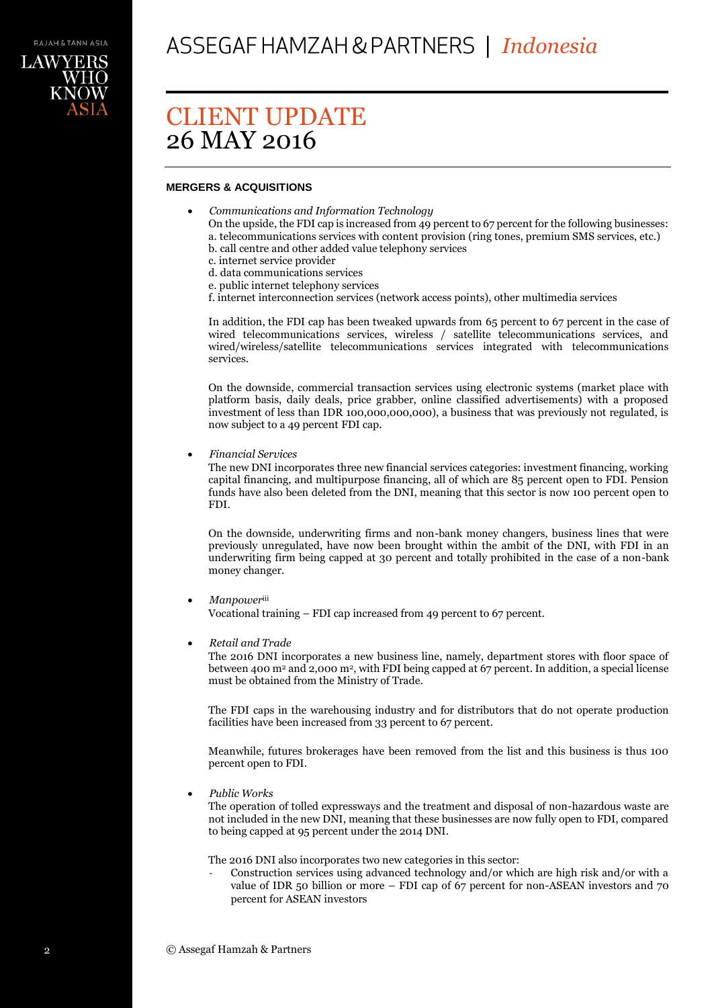

## **MERGERS & ACQUISITIONS**

- *Communications and Information Technology* 
	- On the upside, the FDI cap is increased from 49 percent to 67 percent for the following businesses:
	- a. telecommunications services with content provision (ring tones, premium SMS services, etc.) b. call centre and other added value telephony services
	- c. internet service provider
	- d. data communications services
	- e. public internet telephony services
	- f. internet interconnection services (network access points), other multimedia services

In addition, the FDI cap has been tweaked upwards from 65 percent to 67 percent in the case of wired telecommunications services, wireless / satellite telecommunications services, and wired/wireless/satellite telecommunications services integrated with telecommunications services.

On the downside, commercial transaction services using electronic systems (market place with platform basis, daily deals, price grabber, online classified advertisements) with a proposed investment of less than IDR 100,000,000,000), a business that was previously not regulated, is now subject to a 49 percent FDI cap.

*Financial Services*

The new DNI incorporates three new financial services categories: investment financing, working capital financing, and multipurpose financing, all of which are 85 percent open to FDI. Pension funds have also been deleted from the DNI, meaning that this sector is now 100 percent open to FDI.

On the downside, underwriting firms and non-bank money changers, business lines that were previously unregulated, have now been brought within the ambit of the DNI, with FDI in an underwriting firm being capped at 30 percent and totally prohibited in the case of a non-bank money changer.

*Manpower*iii

Vocational training – FDI cap increased from 49 percent to 67 percent.

*Retail and Trade*

The 2016 DNI incorporates a new business line, namely, department stores with floor space of between 400 m<sup>2</sup> and 2,000 m<sup>2</sup>, with FDI being capped at 67 percent. In addition, a special license must be obtained from the Ministry of Trade.

The FDI caps in the warehousing industry and for distributors that do not operate production facilities have been increased from 33 percent to 67 percent.

Meanwhile, futures brokerages have been removed from the list and this business is thus 100 percent open to FDI.

*Public Works*

The operation of tolled expressways and the treatment and disposal of non-hazardous waste are not included in the new DNI, meaning that these businesses are now fully open to FDI, compared to being capped at 95 percent under the 2014 DNI.

The 2016 DNI also incorporates two new categories in this sector:

- Construction services using advanced technology and/or which are high risk and/or with a value of IDR 50 billion or more – FDI cap of 67 percent for non-ASEAN investors and 70 percent for ASEAN investors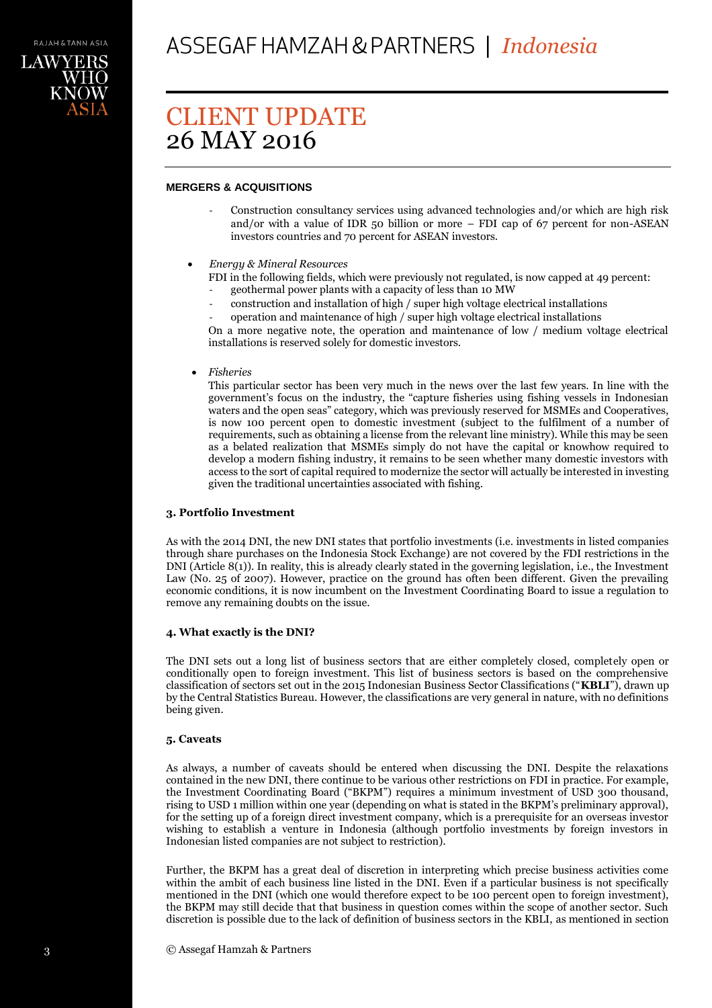LAWYER

# CLIENT UPDATE 26 MAY 2016

# **MERGERS & ACQUISITIONS**

- Construction consultancy services using advanced technologies and/or which are high risk and/or with a value of IDR 50 billion or more – FDI cap of 67 percent for non-ASEAN investors countries and 70 percent for ASEAN investors.
- *Energy & Mineral Resources*
	- FDI in the following fields, which were previously not regulated, is now capped at 49 percent:
	- geothermal power plants with a capacity of less than 10 MW
	- construction and installation of high / super high voltage electrical installations

operation and maintenance of high / super high voltage electrical installations On a more negative note, the operation and maintenance of low / medium voltage electrical installations is reserved solely for domestic investors.

*Fisheries* 

This particular sector has been very much in the news over the last few years. In line with the government's focus on the industry, the "capture fisheries using fishing vessels in Indonesian waters and the open seas" category, which was previously reserved for MSMEs and Cooperatives, is now 100 percent open to domestic investment (subject to the fulfilment of a number of requirements, such as obtaining a license from the relevant line ministry). While this may be seen as a belated realization that MSMEs simply do not have the capital or knowhow required to develop a modern fishing industry, it remains to be seen whether many domestic investors with access to the sort of capital required to modernize the sector will actually be interested in investing given the traditional uncertainties associated with fishing.

### **3. Portfolio Investment**

As with the 2014 DNI, the new DNI states that portfolio investments (i.e. investments in listed companies through share purchases on the Indonesia Stock Exchange) are not covered by the FDI restrictions in the DNI (Article 8(1)). In reality, this is already clearly stated in the governing legislation, i.e., the Investment Law (No. 25 of 2007). However, practice on the ground has often been different. Given the prevailing economic conditions, it is now incumbent on the Investment Coordinating Board to issue a regulation to remove any remaining doubts on the issue.

### **4. What exactly is the DNI?**

The DNI sets out a long list of business sectors that are either completely closed, completely open or conditionally open to foreign investment. This list of business sectors is based on the comprehensive classification of sectors set out in the 2015 Indonesian Business Sector Classifications ("**KBLI**"), drawn up by the Central Statistics Bureau. However, the classifications are very general in nature, with no definitions being given.

### **5. Caveats**

As always, a number of caveats should be entered when discussing the DNI. Despite the relaxations contained in the new DNI, there continue to be various other restrictions on FDI in practice. For example, the Investment Coordinating Board ("BKPM") requires a minimum investment of USD 300 thousand, rising to USD 1 million within one year (depending on what is stated in the BKPM's preliminary approval), for the setting up of a foreign direct investment company, which is a prerequisite for an overseas investor wishing to establish a venture in Indonesia (although portfolio investments by foreign investors in Indonesian listed companies are not subject to restriction).

Further, the BKPM has a great deal of discretion in interpreting which precise business activities come within the ambit of each business line listed in the DNI. Even if a particular business is not specifically mentioned in the DNI (which one would therefore expect to be 100 percent open to foreign investment), the BKPM may still decide that that business in question comes within the scope of another sector. Such discretion is possible due to the lack of definition of business sectors in the KBLI, as mentioned in section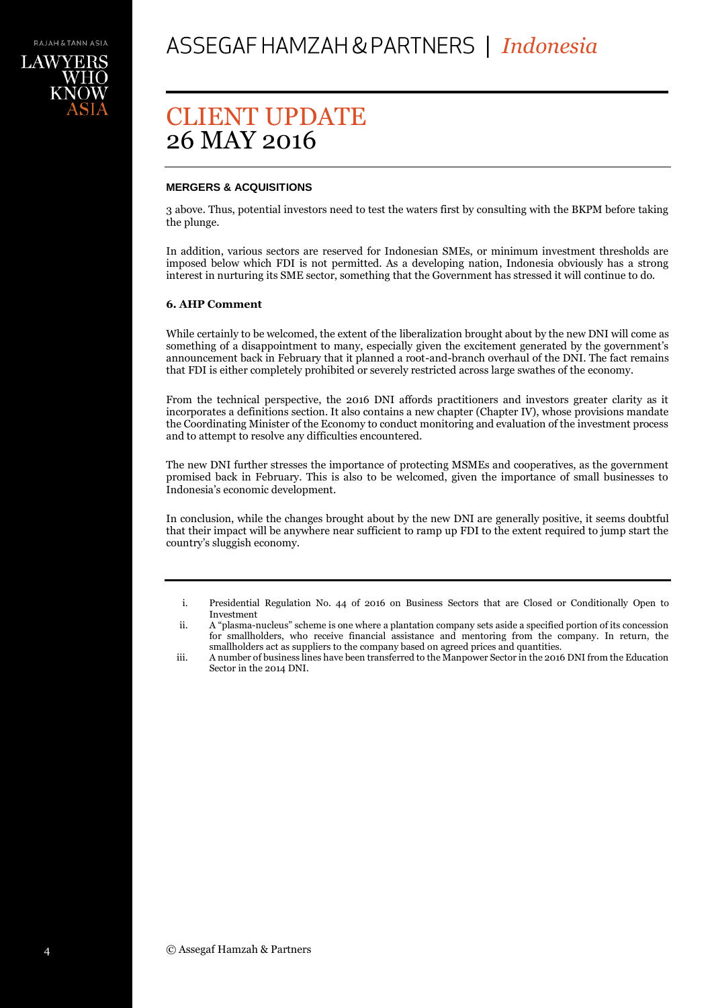## **MERGERS & ACQUISITIONS**

3 above. Thus, potential investors need to test the waters first by consulting with the BKPM before taking the plunge.

In addition, various sectors are reserved for Indonesian SMEs, or minimum investment thresholds are imposed below which FDI is not permitted. As a developing nation, Indonesia obviously has a strong interest in nurturing its SME sector, something that the Government has stressed it will continue to do.

### **6. AHP Comment**

While certainly to be welcomed, the extent of the liberalization brought about by the new DNI will come as something of a disappointment to many, especially given the excitement generated by the government's announcement back in February that it planned a root-and-branch overhaul of the DNI. The fact remains that FDI is either completely prohibited or severely restricted across large swathes of the economy.

From the technical perspective, the 2016 DNI affords practitioners and investors greater clarity as it incorporates a definitions section. It also contains a new chapter (Chapter IV), whose provisions mandate the Coordinating Minister of the Economy to conduct monitoring and evaluation of the investment process and to attempt to resolve any difficulties encountered.

The new DNI further stresses the importance of protecting MSMEs and cooperatives, as the government promised back in February. This is also to be welcomed, given the importance of small businesses to Indonesia's economic development.

In conclusion, while the changes brought about by the new DNI are generally positive, it seems doubtful that their impact will be anywhere near sufficient to ramp up FDI to the extent required to jump start the country's sluggish economy.

i. Presidential Regulation No. 44 of 2016 on Business Sectors that are Closed or Conditionally Open to Investment

ii. A "plasma-nucleus" scheme is one where a plantation company sets aside a specified portion of its concession for smallholders, who receive financial assistance and mentoring from the company. In return, the smallholders act as suppliers to the company based on agreed prices and quantities.

iii. A number of business lines have been transferred to the Manpower Sector in the 2016 DNI from the Education Sector in the 2014 DNI.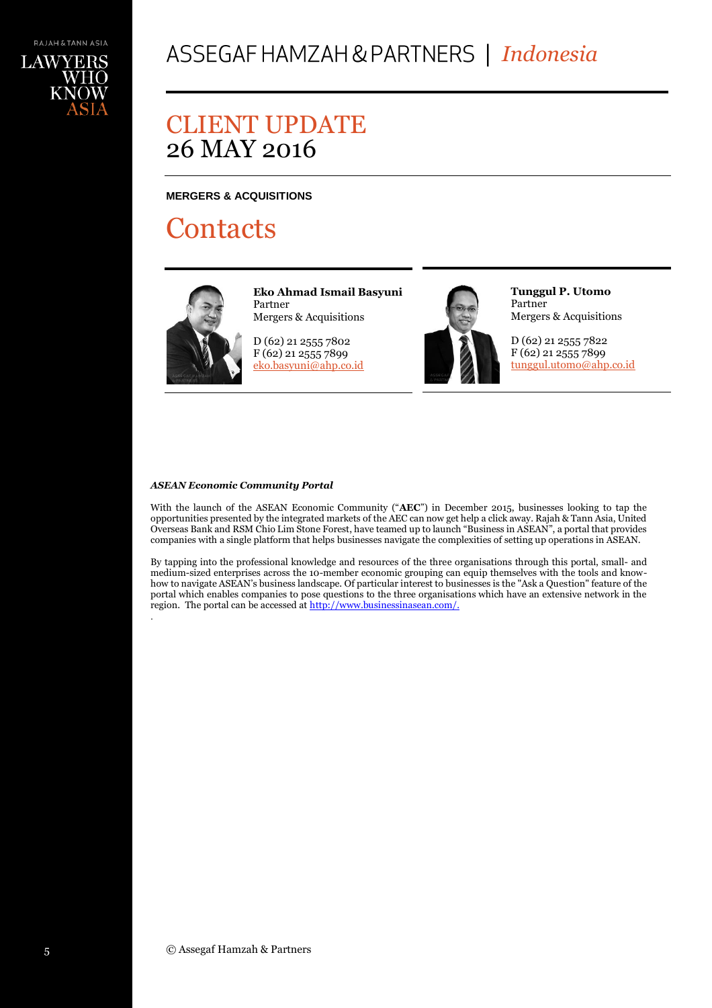# **MERGERS & ACQUISITIONS**

# **Contacts**



.

**Eko Ahmad Ismail Basyuni** Partner Mergers & Acquisitions

D (62) 21 2555 7802 F (62) 21 2555 7899 [eko.basyuni@ahp.co.id](mailto:eko.basyuni@ahp.co.id)



**Tunggul P. Utomo** Partner Mergers & Acquisitions

D (62) 21 2555 7822 F (62) 21 2555 7899 [tunggul.utomo@ahp.co.id](mailto:tunggul.utomo@ahp.co.id)

### *ASEAN Economic Community Portal*

With the launch of the ASEAN Economic Community ("**AEC**") in December 2015, businesses looking to tap the opportunities presented by the integrated markets of the AEC can now get help a click away. Rajah & Tann Asia, United Overseas Bank and RSM Chio Lim Stone Forest, have teamed up to launch "Business in ASEAN", a portal that provides companies with a single platform that helps businesses navigate the complexities of setting up operations in ASEAN.

By tapping into the professional knowledge and resources of the three organisations through this portal, small- and medium-sized enterprises across the 10-member economic grouping can equip themselves with the tools and knowhow to navigate ASEAN's business landscape. Of particular interest to businesses is the "Ask a Question" feature of the portal which enables companies to pose questions to the three organisations which have an extensive network in the region. The portal can be accessed at http://www.businessinasean.com/.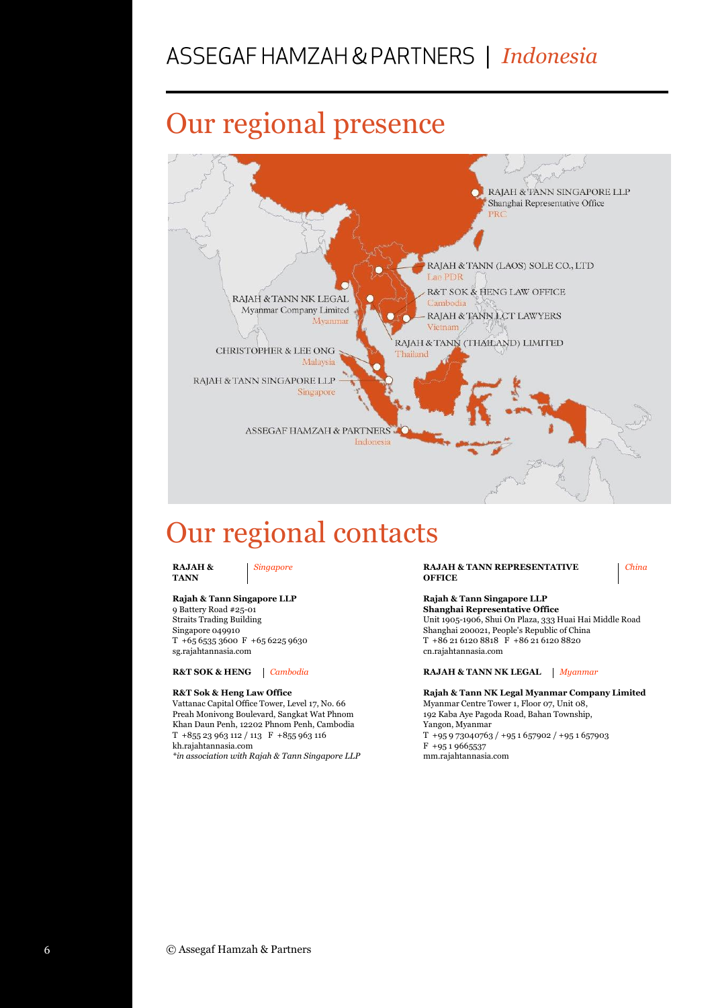# *Indonesia*

# Our regional presence



# Our regional contacts

**RAJAH & TANN** 

### **Rajah & Tann Singapore LLP**

9 Battery Road #25-01 Straits Trading Building Singapore 049910 T +65 6535 3600 F +65 6225 9630 sg.rajahtannasia.com

#### **R&T Sok & Heng Law Office**

Vattanac Capital Office Tower, Level 17, No. 66 Preah Monivong Boulevard, Sangkat Wat Phnom Khan Daun Penh, 12202 Phnom Penh, Cambodia T +855 23 963 112 / 113 F +855 963 116 kh.rajahtannasia.com

*\*in association with Rajah & Tann Singapore LLP*

*Singapore* **RAJAH & TANN REPRESENTATIVE OFFICE**

*China*

#### **Rajah & Tann Singapore LLP Shanghai Representative Office** Unit 1905-1906, Shui On Plaza, 333 Huai Hai Middle Road Shanghai 200021, People's Republic of China T +86 21 6120 8818 F +86 21 6120 8820 cn.rajahtannasia.com

#### **R&T SOK & HENG** *Cambodia* **RAJAH & TANN NK LEGAL** *Myanmar*

**Rajah & Tann NK Legal Myanmar Company Limited** Myanmar Centre Tower 1, Floor 07, Unit 08, 192 Kaba Aye Pagoda Road, Bahan Township, Yangon, Myanmar T +95 9 73040763 / +95 1 657902 / +95 1 657903 F +95 1 9665537 mm.rajahtannasia.com